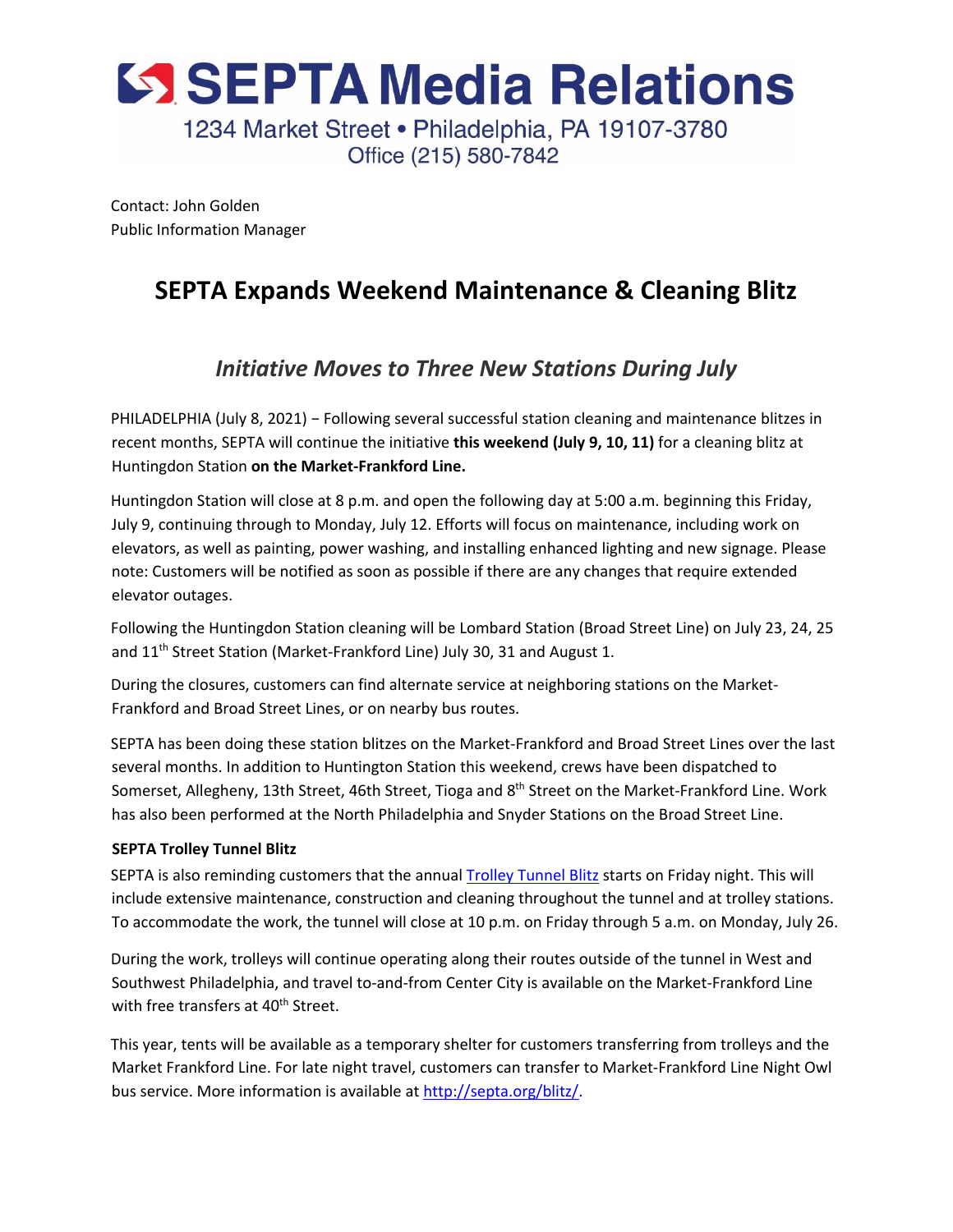

Contact: John Golden Public Information Manager

## **SEPTA Expands Weekend Maintenance & Cleaning Blitz**

## *Initiative Moves to Three New Stations During July*

PHILADELPHIA (July 8, 2021) - Following several successful station cleaning and maintenance blitzes in recent months, SEPTA will continue the initiative **this weekend (July 9, 10, 11)** for a cleaning blitz at Huntingdon Station **on the Market-Frankford Line.** 

Huntingdon Station will close at 8 p.m. and open the following day at 5:00 a.m. beginning this Friday, July 9, continuing through to Monday, July 12. Efforts will focus on maintenance, including work on elevators, as well as painting, power washing, and installing enhanced lighting and new signage. Please note: Customers will be notified as soon as possible if there are any changes that require extended elevator outages.

Following the Huntingdon Station cleaning will be Lombard Station (Broad Street Line) on July 23, 24, 25 and 11<sup>th</sup> Street Station (Market-Frankford Line) July 30, 31 and August 1.

During the closures, customers can find alternate service at neighboring stations on the Market-Frankford and Broad Street Lines, or on nearby bus routes.

SEPTA has been doing these station blitzes on the Market-Frankford and Broad Street Lines over the last several months. In addition to Huntington Station this weekend, crews have been dispatched to Somerset, Allegheny, 13th Street, 46th Street, Tioga and 8<sup>th</sup> Street on the Market-Frankford Line. Work has also been performed at the North Philadelphia and Snyder Stations on the Broad Street Line.

## **SEPTA Trolley Tunnel Blitz**

SEPTA is also reminding customers that the annual **Trolley Tunnel Blitz starts on Friday night**. This will include extensive maintenance, construction and cleaning throughout the tunnel and at trolley stations. To accommodate the work, the tunnel will close at 10 p.m. on Friday through 5 a.m. on Monday, July 26.

During the work, trolleys will continue operating along their routes outside of the tunnel in West and Southwest Philadelphia, and travel to-and-from Center City is available on the Market-Frankford Line with free transfers at 40<sup>th</sup> Street.

This year, tents will be available as a temporary shelter for customers transferring from trolleys and the Market Frankford Line. For late night travel, customers can transfer to Market-Frankford Line Night Owl bus service. More information is available at http://septa.org/blitz/.